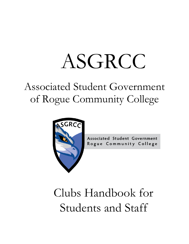# ASGRCC

# Associated Student Government of Rogue Community College



**Associated Student Government** Rogue Community College

# Clubs Handbook for Students and Staff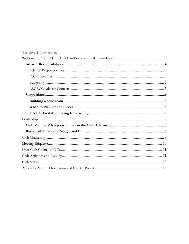# Table of Contents

<span id="page-1-0"></span>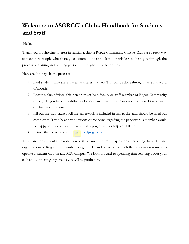# **Welcome to ASGRCC's Clubs Handbook for Students and Staff**

Hello,

Thank you for showing interest in starting a club at Rogue Community College. Clubs are a great way to meet new people who share your common interest. It is our privilege to help you through the process of starting and running your club throughout the school year.

Here are the steps in the process:

- 1. Find students who share the same interests as you. This can be done through flyers and word of mouth.
- 2. Locate a club advisor; this person **must** be a faculty or staff member of Rogue Community College. If you have any difficulty locating an advisor, the Associated Student Government can help you find one.
- 3. Fill out the club packet. All the paperwork is included in this packet and should be filled out completely. If you have any questions or concerns regarding the paperwork a member would be happy to sit down and discuss it with you, as well as help you fill it out.
- 4. Return the packet via email at  $\frac{\text{aggregate}(a)}{\text{aggregate}(a)}$

This handbook should provide you with answers to many questions pertaining to clubs and organizations at Rogue Community College (RCC) and connect you with the necessary resources to operate a student club on any RCC campus. We look forward to spending time learning about your club and supporting any events you will be putting on.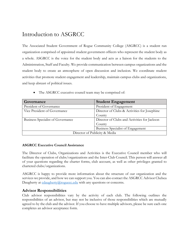# Introduction to ASGRCC

The Associated Student Government of Rogue Community College (ASGRCC) is a student run organization comprised of appointed student government officers who represent the student body as a whole. ASGRCC is the voice for the student body and acts as a liaison for the students to the Administration, Staff and Faculty. We provide communication between campus organizations and the student body to create an atmosphere of open discussion and inclusion. We coordinate student activities that promote student engagement and leadership, maintain campus clubs and organizations, and keep abreast of political issues.

| The ASGRCC executive council team may be comprised of: |  |  |  |  |
|--------------------------------------------------------|--|--|--|--|
|                                                        |  |  |  |  |

| Governance                               | <b>Student Engagement</b>                    |  |  |  |
|------------------------------------------|----------------------------------------------|--|--|--|
| President of Governance                  | President of Engagement                      |  |  |  |
| Vice President of Governance             | Director of Clubs & Activities for Josephine |  |  |  |
|                                          | County                                       |  |  |  |
| <b>Business Specialist of Governance</b> | Director of Clubs and Activities for Jackson |  |  |  |
|                                          | County                                       |  |  |  |
|                                          | Business Specialist of Engagement            |  |  |  |
| Director of Publicity & Media            |                                              |  |  |  |

#### **ASGRCC Executive Council Assistance**

The Director of Clubs, Organizations and Activities is the Executive Council member who will facilitate the operation of clubs/organizations and the Inter-Club Council. This person will answer all of your questions regarding the charter forms, club account, as well as other privileges granted to chartered clubs/organizations.

ASGRCC is happy to provide more information about the structure of our organization and the services we provide, and how we can support you. You can also contact the ASGRCC Advisor Chelsea Daugherty at  $\frac{claugherty(@roguecc.edu)}{cluvel}$  with any questions or concerns.

#### <span id="page-3-0"></span>**Advisor Responsibilities**

Club advisor responsibilities vary by the activity of each club. The following outlines the responsibilities of an advisor, but may not be inclusive of those responsibilities which are mutually agreed to by the club and the advisor. If you choose to have multiple advisors, please be sure each one completes an advisor acceptance form.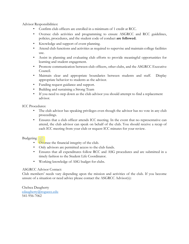<span id="page-4-0"></span>Advisor Responsibilities**:** 

- Confirm club officers are enrolled in a minimum of 1 credit at RCC.
- Oversee club activities and programming to ensure ASGRCC and RCC guidelines, policies, procedures, and the student code of conduct **are followed.**
- Knowledge and support of event planning.
- Attend club functions and activities as required to supervise and maintain college facilities use.
- Assist in planning and evaluating club efforts to provide meaningful opportunities for learning and student engagement.
- Promote communication between club officers, other clubs, and the ASGRCC Executive Council.
- Maintain clear and appropriate boundaries between students and staff. Display appropriate behavior to students as the advisor.
- Funding request guidance and support.
- Building and sustaining a Strong Team
- If you need to step down as the club advisor you should attempt to find a replacement advisor.

<span id="page-4-1"></span>ICC Procedures:

- The club advisor has speaking privileges even though the advisor has no vote in any club proceedings.
- Ensures that a club officer attends ICC meeting. In the event that no representative can attend, the club advisor can speak on behalf of the club. You should receive a recap of each ICC meeting from your club or request ICC minutes for your review.

#### <span id="page-4-2"></span>Budgeting

- Oversee the financial integrity of the club.
- Only advisors are permitted access to the club funds.
- Ensures that all expenditures follow RCC and ASG procedures and are submitted in a timely fashion to the Student Life Coordinator.
- Working knowledge of ASG budget for clubs.

#### <span id="page-4-3"></span>ASGRCC Advisor Contact:

Club members' needs vary depending upon the mission and activities of the club. If you become unsure of a situation or need advice please contact the ASGRCC Advisor(s):

Chelsea Daugherty [cdaugherty@roguecc.edu](mailto:cdaugherty@roguecc.edu)  541-956-7062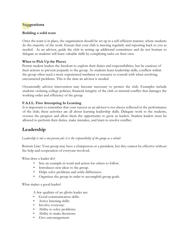#### <span id="page-5-0"></span>**Suggestions**

#### <span id="page-5-1"></span>**Building a solid team**

Once the team is in place, the organization should be set up in a self-efficient manner, where students do the majority of the work. Ensure that your club is meeting regularly and reporting back to you as needed. As an advisor, guide the club in setting up additional committees and do not hesitate to delegate as students will learn valuable skills by completing tasks on their own.

#### <span id="page-5-2"></span>**When to Pick Up the Pieces**

Permit student leaders the freedom to explore their duties and responsibilities, but be cautious of their actions to prevent jeopardy to the group. As students learn leadership skills, conflicts within the group often need a more experienced mediator or resource to consult with when resolving encountered problems. This is the time an advisor is needed.

Occasionally advisor intervention may become necessary to protect the club. Examples include students violating college policies; financial integrity of the club or internal conflict that damages the working order and efficiency of the group.

#### <span id="page-5-3"></span>**F.A.I.L. First Attempting In Learning**

It is important to remember that your success as an advisor is not always reflected in the performance of the club; these activities are all about learning leadership skills. Delegate work to the students, oversee the progress and allow them the opportunity to grow as leaders. Student leaders must be allowed to perform their duties, make mistakes, and learn to resolve conflict.

# <span id="page-5-4"></span>**Leadership**

*Leadership is not a one-person job; it is the responsibility of the group as a whole!*

Bottom Line: Your group may have a chairperson or a president, but they cannot be effective without the help and cooperation of everyone involved.

What does a leader do?

- Sets an example in word and action for others to follow.
- Introduces new ideas to the group.
- Helps solve problems and settle differences.
- Organizes the group in order to accomplish group goals.

What makes a good leader?

A few qualities of an *effective* leader are:

- Good communication skills:
- Active listening skills:
- Involve everyone:
- Ability to solve problems:
- Ability to make decisions:
- Give encouragement: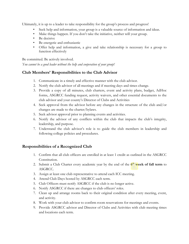Ultimately, it is up to a leader to take responsibility for the group's process and progress!

- Seek help and information, your group is a valuable source of information and ideas.
- Make things happen. If you don't take the initiative, neither will your group.
- Be decisive
- Be energetic and enthusiastic
- Offer help and information, a give and take relationship is necessary for a group to function effectively

Be committed. Be actively involved.

*You cannot be a good leader without the help and cooperation of your group!*

#### <span id="page-6-0"></span>**Club Members' Responsibilities to the Club Advisor**

- 1. Communicate in a timely and effective manner with the club advisor.
- 2. Notify the club advisor of all meetings and if meeting days and times change.
- 3. Provide a copy of all minutes, club charters, event and activity plans, budget, AdHoc forms, ASGRCC funding request, activity waivers, and other essential documents to the club advisor and your county's Director of Clubs and Activities
- 4. Seek approval from the advisor before any changes in the structure of the club and/or changes are made to the charter/bylaws.
- 5. Seek advisor approval prior to planning events and activities.
- 6. Notify the advisor of any conflicts within the club that impacts the club's integrity, leadership, and purpose.
- 7. Understand the club advisor's role is to guide the club members in leadership and following college policies and procedures.

#### <span id="page-6-1"></span>**Responsibilities of a Recognized Club**

- 1. Confirm that all club officers are enrolled in at least 1 credit as outlined in the ASGRCC Constitution.
- 2. Submit a Club Charter every academic year by the end of the **6th week of fall term** to ASGRCC.
- 3. Assign at least one club representative to attend each ICC meeting.
- 4. Attend Club Days hosted by ASGRCC each term.
- 5. Club Officers must notify ASGRCC if the club is no longer active.
- 6. Notify ASGRCC if there are changes to club officers' roles.
- 7. Clean up and arrange rooms back to their original condition after every meeting, event, and activity.
- 8. Work with your club advisor to confirm room reservations for meetings and events.
- 9. Provide ASGRCC advisor and Director of Clubs and Activities with club meeting times and locations each term.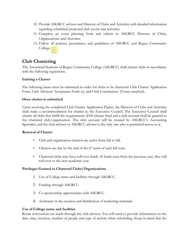- 10. Provide ASGRCC advisor and Director of Clubs and Activities with detailed information regarding scheduled/projected club events and activities.
- 11. Complete an event planning form and submit to ASGRCC Director of Clubs, Organizations, and Activities
- 12. Follow all policies, procedures, and guidelines of ASGRCC and Rogue Community College.

## <span id="page-7-0"></span>**Club Chartering**

The Associated Students of Rogue Community College (ASGRCC) shall charter clubs in accordance with the following regulations.

#### **Gaining a Charter**

The following items must be submitted in order for clubs to be chartered: Club Charter Application Form, Club Advisors' Acceptance Form (s), and Club Constitution. (Forms attached).

#### **Once charter is submitted**

Upon receiving the completed Club Charter Application Packet, the Director of Clubs and Activities shall make a recommendation for charter to the Executive Council. The Executive Council shall charter all clubs that fulfill the requirements. \$100 charter fund and a club account shall be granted to the chartered club/organization. The club account will be created by ASGRCC's Accounting Specialist, and the club advisor or ASGRCC advisor is the only one who is permitted access to it.

#### **Renewal of Charter**

- Club and organization charters are active from fall to fall.
- Charters are due by the end of the  $6<sup>th</sup>$  week of each fall term.
- Chartered clubs may have roll-over funds. If funds exist from the previous year, they will roll-over to the next academic year.

#### **Privileges Granted to Chartered Clubs/Organizations**

- 1. Use of College name and facilities through ASGRCC.
- 2. Funding through ASGRCC.
- 3. Co-sponsorship opportunities with ASGRCC
- 4. Assistance in the creation and distribution of marketing materials.

#### **Use of College name and facilities**

Room reservations are made through the club advisor. You will need to provide information on the date, time, location, number of people and type of activity when scheduling. Keep in mind that the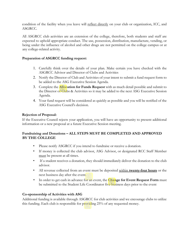condition of the facility when you leave will reflect directly on your club or organization, ICC, and ASGRCC.

All ASGRCC club activities are an extension of the college, therefore, both students and staff are expected to uphold appropriate conduct. The use, possession, distribution, manufacture, vending, or being under the influence of alcohol and other drugs are not permitted on the college campus or at any college-related activity.

#### **Preparation of ASGRCC funding request:**

- 1. Carefully think over the details of your plan. Make certain you have checked with the ASGRCC Advisor and Director of Clubs and Activities
- 2. Notify the Director of Club and Activities of your intent to submit a fund request form to be added to the ASG Executive Session Agenda.
- 3. Complete the **Allocation for Funds Request** with as much detail possible and submit to the Director of Clubs & Activities so it may be added to the next ASG Executive Session Agenda.
- 4. Your fund request will be considered as quickly as possible and you will be notified of the ASG Executive Council's decision.

#### **Rejection of Proposal:**

If the Executive Council rejects your application, you will have an opportunity to present additional information or a new proposal at a future Executive Session meeting.

#### **Fundraising and Donations – ALL STEPS MUST BE COMPLETED AND APPROVED BY THE COLLEGE**

- Please notify ASGRCC if you intend to fundraise or receive a donation.
- If money is collected the club advisor, ASG Advisor, or designated RCC Staff Member must be present at all times.
- If a student receives a donation, they should immediately deliver the donation to the club advisor.
- All revenue collected from an event must be deposited within **twenty-four hours** or the next business day after the event.
- In order to get cash in advance for an event, the **Change for Event Request Form** must be submitted to the Student Life Coordinator five business days prior to the event

#### **Co-sponsorship of Activities with ASG**

Additional funding is available through ASGRCC for club activities and we encourage clubs to utilize this funding. Each club is responsible for providing 25% of any requested money.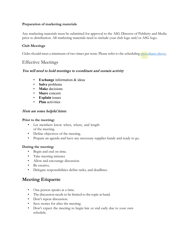#### **Preparation of marketing materials**

Any marketing materials must be submitted for approval to the ASG Director of Publicity and Media prior to distribution. All marketing materials need to include your club logo and/or ASG logo.

#### **Club Meetings**

Clubs should meet a minimum of two times per term. Please refer to the schedulin[g procedures above.](#page-7-0)

### Effective Meetings

#### You will need to hold meetings to coordinate and sustain activity

- **Exchange** information & ideas
- **Solve** problems
- **Make** decisions
- **Share** concern
- **Explain** issues
- **Plan** activities

#### Here are some helpful hints:

#### **Prior to the meeting:**

- Let members know when, where, and length of the meeting.
- Define objectives of the meeting.
- Prepare an agenda and have any necessary supplies handy and ready to go.

#### **During the meeting:**

- Begin and end on time.
- Take meeting minutes
- Allow and encourage discussion
- Be creative.
- Delegate responsibilities define tasks, and deadlines.

## <span id="page-9-0"></span>**Meeting Etiquette**

- One person speaks at a time.
- The discussion needs to be limited to the topic at hand.
- Don't repeat discussion.
- Save stories for after the meeting.
- Don't expect the meeting to begin late or end early due to your own schedule.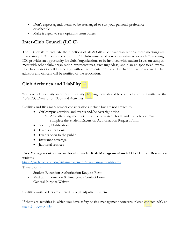- Don't expect agenda items to be rearranged to suit your personal preference or schedule.
- Make it a goal to seek opinions from others.

# <span id="page-10-0"></span>**Inter-Club Council (I.C.C)**

The ICC exists to facilitate the functions of all ASGRCC clubs/organizations, these meetings are **mandatory**. ICC meets every month. All clubs must send a representative to every ICC meeting. ICC provides an opportunity for clubs/organizations to be involved with student issues on campus, meet with other club/organization representatives, exchange ideas, and plan co-sponsored events. If a club misses two ICC meetings without representation the clubs charter may be revoked. Club advisors and officers will be notified of the revocation.

# <span id="page-10-1"></span>**Club Activities and Liability**

With each club activity an event and activity planning form should be completed and submitted to the ASGRCC Director of Clubs and Activities.

Facilities and Risk management considerations include but are not limited to:

- Off-campus activities and events and/or overnight trips
	- o Any attending member must file a Waiver form and the advisor must complete the Student Excursion Authorization Request Form.
- Security Notification
- Events after hours
- Events open to the public
- Insurance coverage
- Janitorial services

#### **Risk Management forms are located under Risk Management on RCC's Human Resources website**

<https://web.roguecc.edu/risk-management/risk-management-forms>

Travel Forms:

- Student Excursion Authorization Request Form
- Medical Information & Emergency Contact Form
- General Purpose Waiver

Facilities work orders are entered through Mpulse 8 system.

If there are activities in which you have safety or risk management concerns, please contact ASG at [asgrcc@roguecc.edu](mailto:asgrcc@roguecc.edu)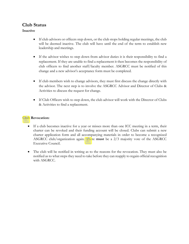## <span id="page-11-0"></span>**Club Status**

#### **Inactive**

- If club advisors or officers step down, or the club stops holding regular meetings, the club will be deemed inactive. The club will have until the end of the term to establish new leadership and meetings.
- If the advisor wishes to step down from advisor duties it is their responsibility to find a replacement. If they are unable to find a replacement it then becomes the responsibility of club officers to find another staff/faculty member. ASGRCC must be notified of this change and a new advisor's acceptance form must be completed.
- If club members wish to change advisors, they must first discuss the change directly with the advisor. The next step is to involve the ASGRCC Advisor and Director of Clubs & Activities to discuss the request for change.
- If Club Officers wish to step down, the club advisor will work with the Director of Clubs & Activities to find a replacement.

#### **Club Revocation:**

- If a club becomes inactive for a year or misses more than one ICC meeting in a term, their charter can be revoked and their funding account will be closed. Clubs can submit a new charter application form and all accompanying materials in order to become a recognized ASGRCC club/organization again. There **must** be a 2/3 majority vote of the ASGRCC Executive Council.
- The club will be notified in writing as to the reasons for the revocation. They must also be notified as to what steps they need to take before they can reapply to regain official recognition with ASGRCC.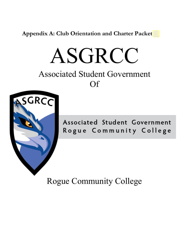<span id="page-12-0"></span>**Appendix A: Club Orientation and Charter Packet**

# ASGRCC

# Associated Student Government Of



Associated Student Government Rogue Community College

Rogue Community College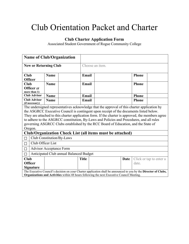# Club Orientation Packet and Charter

# **Club Charter Application Form**

Associated Student Government of Rogue Community College

| <b>Name of Club/Organization</b>                            |             |                           |                 |                |                                                                                                                                                                                                                                                                                                                                                                                                                                                                               |      |              |                         |
|-------------------------------------------------------------|-------------|---------------------------|-----------------|----------------|-------------------------------------------------------------------------------------------------------------------------------------------------------------------------------------------------------------------------------------------------------------------------------------------------------------------------------------------------------------------------------------------------------------------------------------------------------------------------------|------|--------------|-------------------------|
| <b>New or Returning Club</b>                                |             |                           | Choose an item. |                |                                                                                                                                                                                                                                                                                                                                                                                                                                                                               |      |              |                         |
| Club                                                        | <b>Name</b> |                           |                 | Email<br>Phone |                                                                                                                                                                                                                                                                                                                                                                                                                                                                               |      |              |                         |
| <b>Officer</b><br><b>Club</b><br><b>Name</b><br>Officer (if |             | Email                     | <b>Phone</b>    |                |                                                                                                                                                                                                                                                                                                                                                                                                                                                                               |      |              |                         |
| more than 1)<br><b>Club Advisor</b>                         | <b>Name</b> |                           | Email           |                |                                                                                                                                                                                                                                                                                                                                                                                                                                                                               |      | <b>Phone</b> |                         |
| <b>Club Advisor</b><br>(if necessary)                       | <b>Name</b> |                           | Email           |                |                                                                                                                                                                                                                                                                                                                                                                                                                                                                               |      | <b>Phone</b> |                         |
| Oregon.                                                     |             |                           |                 |                | The undersigned representatives acknowledge that the approval of this charter application by<br>the ASGRCC Executive Council is contingent upon receipt of the documents listed below.<br>They are attached to this charter application form. If the charter is approved, the members agree<br>to adhere to the ASGRCC constitution, By-Laws and Policies and Procedures, and all rules<br>governing ASGRCC Clubs established by the RCC Board of Education, and the State of |      |              |                         |
|                                                             |             |                           |                 |                | Club/Organization Check List (all items must be attached)                                                                                                                                                                                                                                                                                                                                                                                                                     |      |              |                         |
| П                                                           |             | Club Constitution/By-Laws |                 |                |                                                                                                                                                                                                                                                                                                                                                                                                                                                                               |      |              |                         |
| Club Officer List<br>П                                      |             |                           |                 |                |                                                                                                                                                                                                                                                                                                                                                                                                                                                                               |      |              |                         |
| <b>Advisor Acceptance Form</b>                              |             |                           |                 |                |                                                                                                                                                                                                                                                                                                                                                                                                                                                                               |      |              |                         |
| Anticipated Club annual Balanced Budget                     |             |                           |                 |                |                                                                                                                                                                                                                                                                                                                                                                                                                                                                               |      |              |                         |
| <b>Club</b><br><b>Officer</b><br><b>Signature</b>           |             |                           | <b>Title</b>    |                |                                                                                                                                                                                                                                                                                                                                                                                                                                                                               | Date | date.        | Click or tap to enter a |
|                                                             |             |                           |                 |                | The Executive Council's decision on your Charter application shall be announced to you by the Director of Clubs,<br><b>Organizations and Activities</b> within 48 hours following the next Executive Council Meeting.                                                                                                                                                                                                                                                         |      |              |                         |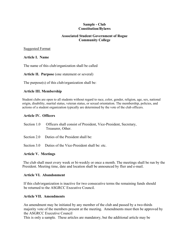#### **Sample - Club Constitution/Bylaws**

#### **Associated Student Government of Rogue Community College**

#### Suggested Format

#### **Article I. Name**

The name of this club/organization shall be called

**Article II. Purpose** (one statement or several)

The purpose(s) of this club/organization shall be:

#### **Article III. Membership**

Student clubs are open to all students without regard to race, color, gender, religion, age, sex, national origin, disability, marital status, veteran status, or sexual orientation. The membership, policies, and actions of a student organization typically are determined by the vote of the club officers.

#### **Article IV. Officers**

| Section 1.0 Officers shall consist of President, Vice-President, Secretary, |
|-----------------------------------------------------------------------------|
| Treasurer, Other.                                                           |

Section 2.0 Duties of the President shall be:

Section 3.0 Duties of the Vice-President shall be: etc.

#### **Article V. Meetings**

The club shall meet every week or bi-weekly or once a month. The meetings shall be run by the President. Meeting time, date and location shall be announced by flier and e-mail.

#### **Article VI. Abandonment**

If this club/organization is inactive for two consecutive terms the remaining funds should be returned to the ASGRCC Executive Council.

#### **Article VII. Amendments**

An amendment may be initiated by any member of the club and passed by a two-thirds majority vote of the members present at the meeting. Amendments must then be approved by the ASGRCC Executive Council

This is only a sample. These articles are mandatory, but the additional article may be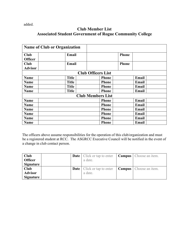added.

#### **Club Member List Associated Student Government of Rogue Community College**

|                | <b>Name of Club or Organization</b> |                           |              |              |       |  |
|----------------|-------------------------------------|---------------------------|--------------|--------------|-------|--|
| <b>Club</b>    | Email                               |                           |              | <b>Phone</b> |       |  |
| <b>Officer</b> |                                     |                           |              |              |       |  |
| <b>Club</b>    | Email                               |                           |              | <b>Phone</b> |       |  |
| <b>Advisor</b> |                                     |                           |              |              |       |  |
|                |                                     | <b>Club Officers List</b> |              |              |       |  |
| Name           | <b>Title</b>                        |                           | <b>Phone</b> |              | Email |  |
| <b>Name</b>    | <b>Title</b>                        |                           | <b>Phone</b> |              | Email |  |
| <b>Name</b>    | <b>Title</b>                        |                           | <b>Phone</b> |              | Email |  |
| Name           | <b>Title</b>                        |                           | <b>Phone</b> |              | Email |  |
|                |                                     | <b>Club Members List</b>  |              |              |       |  |
| Name           |                                     |                           | <b>Phone</b> |              | Email |  |
| <b>Name</b>    |                                     |                           | <b>Phone</b> |              | Email |  |
| <b>Name</b>    |                                     |                           | <b>Phone</b> |              | Email |  |
| <b>Name</b>    |                                     |                           | <b>Phone</b> |              | Email |  |
| <b>Name</b>    |                                     |                           | <b>Phone</b> |              | Email |  |
| Name           |                                     |                           | <b>Phone</b> |              | Email |  |

The officers above assume responsibilities for the operation of this club/organization and must be a registered student at RCC. The ASGRCC Executive Council will be notified in the event of a change in club contact person.

| Club           |  | <b>Date</b>   Click or tap to enter   <b>Campus</b>   Choose an item. |  |
|----------------|--|-----------------------------------------------------------------------|--|
| <b>Officer</b> |  | a date.                                                               |  |
| Signature      |  |                                                                       |  |
| Club           |  | <b>Date</b>   Click or tap to enter   <b>Campus</b>   Choose an item. |  |
| <b>Advisor</b> |  | a date.                                                               |  |
| Signature      |  |                                                                       |  |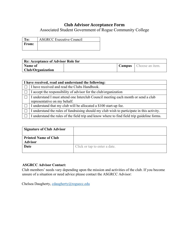### **Club Advisor Acceptance Form**

Associated Student Government of Rogue Community College

| $\blacksquare$ | <b>ASGRCC Executive Council</b> |
|----------------|---------------------------------|
| From:          |                                 |
|                |                                 |

| <b>Re: Acceptance of Advisor Role for</b> |  |  |                                 |  |  |  |  |
|-------------------------------------------|--|--|---------------------------------|--|--|--|--|
| <b>Name of</b>                            |  |  | <b>Campus</b>   Choose an item. |  |  |  |  |
| <b>Club/Organization</b>                  |  |  |                                 |  |  |  |  |

|   | I have received, read and understand the following:                                                                |  |  |  |  |  |  |  |
|---|--------------------------------------------------------------------------------------------------------------------|--|--|--|--|--|--|--|
|   | I have received and read the Clubs Handbook.                                                                       |  |  |  |  |  |  |  |
|   | I accept the responsibility of advisor for the club/organization                                                   |  |  |  |  |  |  |  |
|   | I understand I must attend one Interclub Council meeting each month or send a club<br>representative on my behalf. |  |  |  |  |  |  |  |
| ⊔ | I understand that my club will be allocated a \$100 start-up fee.                                                  |  |  |  |  |  |  |  |
|   | I understand the rules of fundraising should my club wish to participate in this activity.                         |  |  |  |  |  |  |  |
|   | I understand the rules of the field trip and know where to find field trip guideline forms.                        |  |  |  |  |  |  |  |

| <b>Signature of Club Advisor</b>              |                               |
|-----------------------------------------------|-------------------------------|
| <b>Printed Name of Club</b><br><b>Advisor</b> |                               |
| Date                                          | Click or tap to enter a date. |

#### **ASGRCC Advisor Contact:**

Club members' needs vary depending upon the mission and activities of the club. If you become unsure of a situation or need advice please contact the ASGRCC Advisor:

Chelsea Daugherty, [cdaugherty@roguecc.edu](mailto:cdaugherty@roguecc.edu)